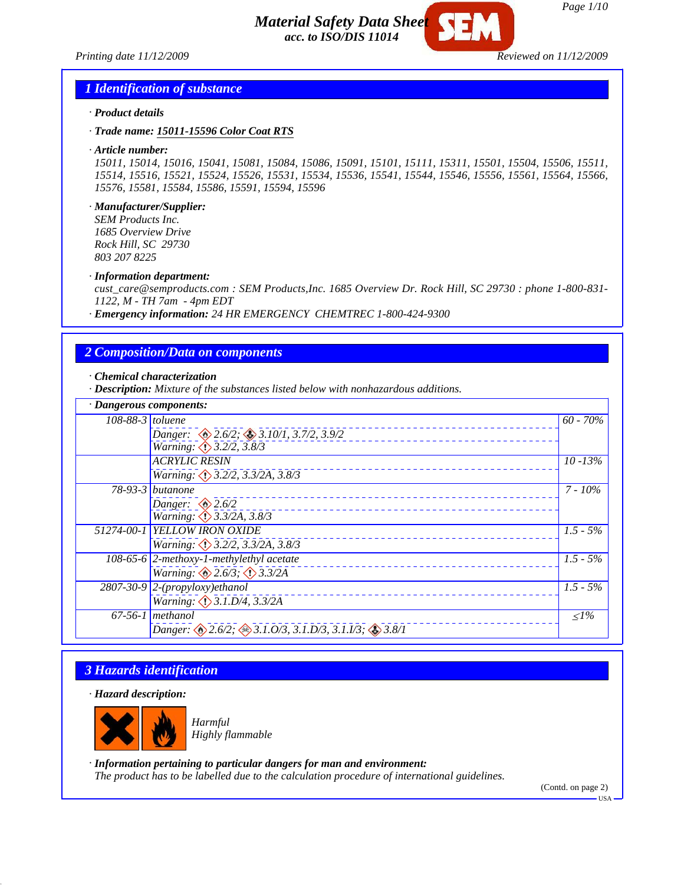*Printing date 11/12/2009 Reviewed on 11/12/2009*



*Page 1/10*

#### *1 Identification of substance*

- *· Product details*
- *· Trade name: 15011-15596 Color Coat RTS*
- *· Article number:*

*15011, 15014, 15016, 15041, 15081, 15084, 15086, 15091, 15101, 15111, 15311, 15501, 15504, 15506, 15511, 15514, 15516, 15521, 15524, 15526, 15531, 15534, 15536, 15541, 15544, 15546, 15556, 15561, 15564, 15566, 15576, 15581, 15584, 15586, 15591, 15594, 15596*

*· Manufacturer/Supplier:*

*SEM Products Inc. 1685 Overview Drive Rock Hill, SC 29730 803 207 8225*

#### *· Information department:*

*cust\_care@semproducts.com : SEM Products,Inc. 1685 Overview Dr. Rock Hill, SC 29730 : phone 1-800-831- 1122, M - TH 7am - 4pm EDT*

*· Emergency information: 24 HR EMERGENCY CHEMTREC 1-800-424-9300*

## *2 Composition/Data on components*

*· Chemical characterization*

*· Description: Mixture of the substances listed below with nonhazardous additions.*

| · Dangerous components: |                                                                               |             |
|-------------------------|-------------------------------------------------------------------------------|-------------|
| $108-88-3$ toluene      |                                                                               | $60 - 70\%$ |
|                         | Danger: $\otimes$ 2.6/2; $\otimes$ 3.10/1, 3.7/2, 3.9/2                       |             |
|                         | <i>Warning: <math>\bigcirc</math> 3.2/2, 3.8/3</i>                            |             |
|                         | <b>ACRYLIC RESIN</b>                                                          | $10 - 13%$  |
|                         | Warning: 3.2/2, 3.3/2A, 3.8/3                                                 |             |
|                         | $\overline{78-93-3}$ <i>butanone</i>                                          | 7 - 10%     |
|                         | Danger: $\otimes$ 2.6/2                                                       |             |
|                         | <i>Warning: <math>\langle \cdot \rangle</math> 3.3/2A, 3.8/3</i>              |             |
|                         | 51274-00-1 YELLOW IRON OXIDE                                                  | $1.5 - 5\%$ |
|                         | Warning: $\bigcirc$ 3.2/2, 3.3/2A, 3.8/3                                      |             |
|                         | 108-65-6 $ 2$ -methoxy-1-methylethyl acetate                                  | $1.5 - 5\%$ |
|                         | Warning: $\otimes$ 2.6/3; $\otimes$ 3.3/2A                                    |             |
|                         | $\sqrt{2807-30-9}$ 2-(propyloxy)ethanol                                       | $1.5 - 5\%$ |
|                         | Warning: $\bigcirc$ 3.1.D/4, 3.3/2A                                           |             |
|                         | $67-56-1$ methanol                                                            | $\leq l\%$  |
|                         | Danger: $\otimes$ 2.6/2; $\otimes$ 3.1.0/3, 3.1.D/3, 3.1.I/3; $\otimes$ 3.8/1 |             |

# *3 Hazards identification*

*· Hazard description:*



*Harmful Highly flammable*

*· Information pertaining to particular dangers for man and environment: The product has to be labelled due to the calculation procedure of international guidelines.*

(Contd. on page 2)

 $-<sub>USA</sub>$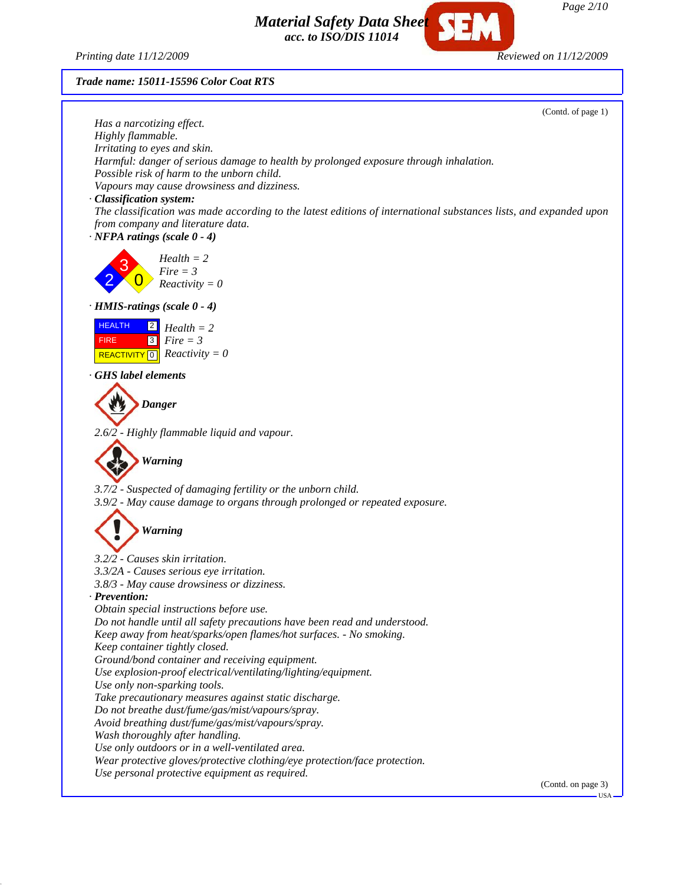*Printing date 11/12/2009 Reviewed on 11/12/2009*

*Trade name: 15011-15596 Color Coat RTS*

(Contd. of page 1) *Has a narcotizing effect. Highly flammable. Irritating to eyes and skin. Harmful: danger of serious damage to health by prolonged exposure through inhalation. Possible risk of harm to the unborn child. Vapours may cause drowsiness and dizziness. · Classification system: The classification was made according to the latest editions of international substances lists, and expanded upon from company and literature data. · NFPA ratings (scale 0 - 4)* 2 3  $\overline{0}$ *Health = 2 Fire = 3 Reactivity = 0 · HMIS-ratings (scale 0 - 4)* **HEALTH**  FIRE  $\overline{REACTIVITY[0]}$  *Reactivity* = 0 2 *Health = 2* 3 *Fire = 3 · GHS label elements Danger 2.6/2 - Highly flammable liquid and vapour. Warning 3.7/2 - Suspected of damaging fertility or the unborn child. 3.9/2 - May cause damage to organs through prolonged or repeated exposure. Warning 3.2/2 - Causes skin irritation. 3.3/2A - Causes serious eye irritation. 3.8/3 - May cause drowsiness or dizziness. · Prevention: Obtain special instructions before use. Do not handle until all safety precautions have been read and understood. Keep away from heat/sparks/open flames/hot surfaces. - No smoking. Keep container tightly closed. Ground/bond container and receiving equipment. Use explosion-proof electrical/ventilating/lighting/equipment. Use only non-sparking tools. Take precautionary measures against static discharge. Do not breathe dust/fume/gas/mist/vapours/spray. Avoid breathing dust/fume/gas/mist/vapours/spray. Wash thoroughly after handling. Use only outdoors or in a well-ventilated area. Wear protective gloves/protective clothing/eye protection/face protection. Use personal protective equipment as required.* (Contd. on page 3)

*Page 2/10*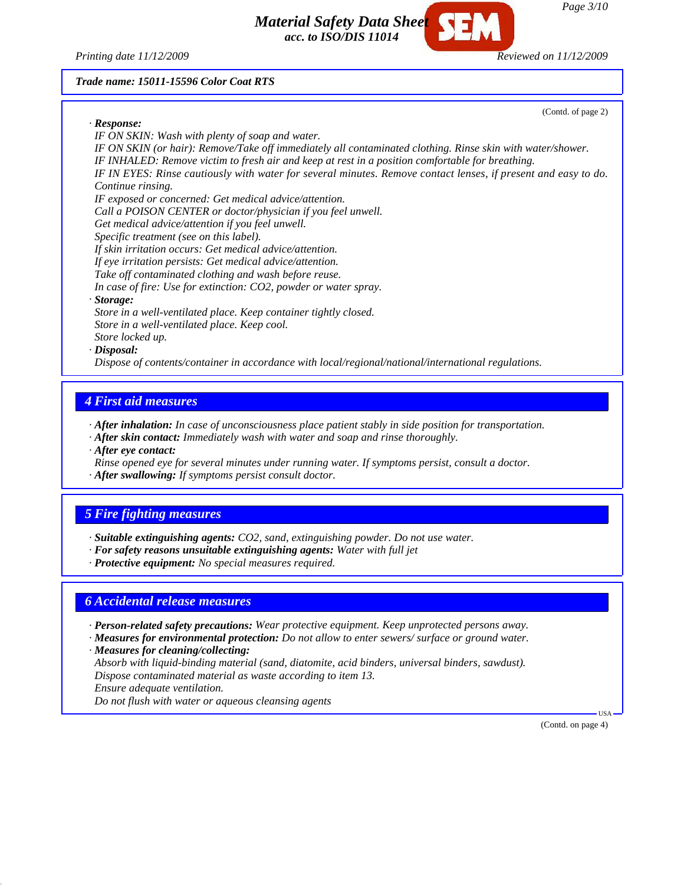*Printing date 11/12/2009 Reviewed on 11/12/2009*

*Material Safety Data Sheet acc. to ISO/DIS 11014*

#### *Trade name: 15011-15596 Color Coat RTS*

(Contd. of page 2)

*· Response: IF ON SKIN: Wash with plenty of soap and water. IF ON SKIN (or hair): Remove/Take off immediately all contaminated clothing. Rinse skin with water/shower. IF INHALED: Remove victim to fresh air and keep at rest in a position comfortable for breathing. IF IN EYES: Rinse cautiously with water for several minutes. Remove contact lenses, if present and easy to do. Continue rinsing. IF exposed or concerned: Get medical advice/attention. Call a POISON CENTER or doctor/physician if you feel unwell. Get medical advice/attention if you feel unwell. Specific treatment (see on this label). If skin irritation occurs: Get medical advice/attention. If eye irritation persists: Get medical advice/attention. Take off contaminated clothing and wash before reuse. In case of fire: Use for extinction: CO2, powder or water spray. · Storage: Store in a well-ventilated place. Keep container tightly closed. Store in a well-ventilated place. Keep cool. Store locked up. · Disposal: Dispose of contents/container in accordance with local/regional/national/international regulations.*

## *4 First aid measures*

*· After inhalation: In case of unconsciousness place patient stably in side position for transportation.*

- *· After skin contact: Immediately wash with water and soap and rinse thoroughly.*
- *· After eye contact:*
- *Rinse opened eye for several minutes under running water. If symptoms persist, consult a doctor.*
- *· After swallowing: If symptoms persist consult doctor.*

## *5 Fire fighting measures*

*· Suitable extinguishing agents: CO2, sand, extinguishing powder. Do not use water.*

- *· For safety reasons unsuitable extinguishing agents: Water with full jet*
- *· Protective equipment: No special measures required.*

## *6 Accidental release measures*

- *· Person-related safety precautions: Wear protective equipment. Keep unprotected persons away.*
- *· Measures for environmental protection: Do not allow to enter sewers/ surface or ground water.*
- *· Measures for cleaning/collecting: Absorb with liquid-binding material (sand, diatomite, acid binders, universal binders, sawdust). Dispose contaminated material as waste according to item 13. Ensure adequate ventilation. Do not flush with water or aqueous cleansing agents*

(Contd. on page 4)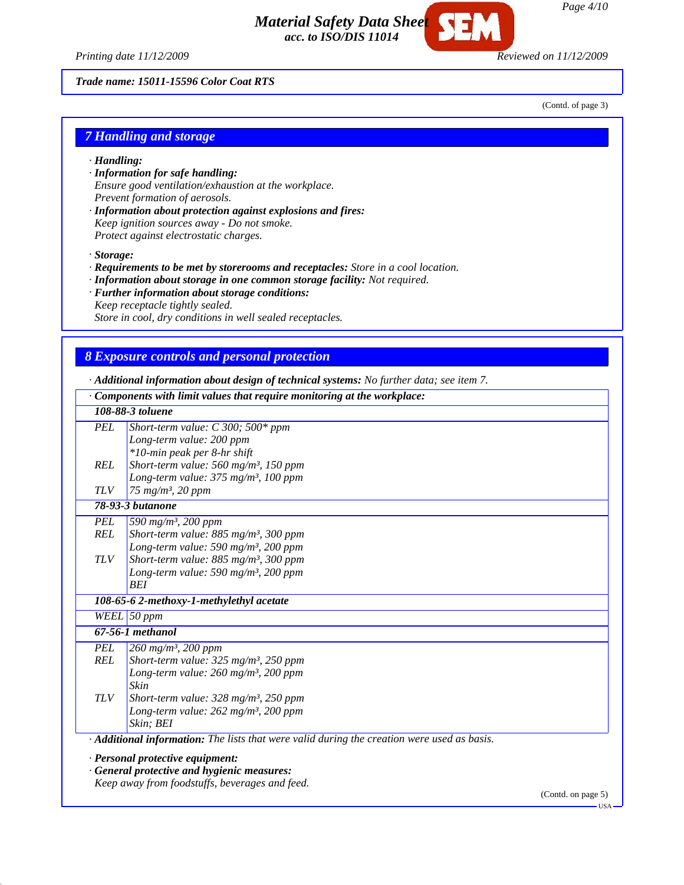*Page 4/10*

*Printing date 11/12/2009 Reviewed on 11/12/2009*

*Trade name: 15011-15596 Color Coat RTS*

(Contd. of page 3)

#### *7 Handling and storage*

- *· Handling:*
- *· Information for safe handling: Ensure good ventilation/exhaustion at the workplace. Prevent formation of aerosols.*
- *· Information about protection against explosions and fires: Keep ignition sources away - Do not smoke. Protect against electrostatic charges.*

*· Storage:*

- *· Requirements to be met by storerooms and receptacles: Store in a cool location.*
- *· Information about storage in one common storage facility: Not required.*
- *· Further information about storage conditions:*
- *Keep receptacle tightly sealed.*

*Store in cool, dry conditions in well sealed receptacles.*

## *8 Exposure controls and personal protection*

*· Additional information about design of technical systems: No further data; see item 7.*

|            | $\cdot$ Components with limit values that require monitoring at the workplace:              |                    |
|------------|---------------------------------------------------------------------------------------------|--------------------|
|            | 108-88-3 toluene                                                                            |                    |
| <b>PEL</b> | Short-term value: $C$ 300; 500* ppm                                                         |                    |
|            | Long-term value: 200 ppm                                                                    |                    |
|            | *10-min peak per 8-hr shift                                                                 |                    |
| <b>REL</b> | Short-term value: 560 mg/m <sup>3</sup> , 150 ppm                                           |                    |
|            | Long-term value: 375 mg/m <sup>3</sup> , 100 ppm                                            |                    |
| <b>TLV</b> | 75 mg/m <sup>3</sup> , 20 ppm                                                               |                    |
|            | 78-93-3 butanone                                                                            |                    |
| <b>PEL</b> | 590 mg/m <sup>3</sup> , 200 ppm                                                             |                    |
| <b>REL</b> | Short-term value: 885 mg/m <sup>3</sup> , 300 ppm                                           |                    |
|            | Long-term value: 590 mg/m <sup>3</sup> , 200 ppm                                            |                    |
| <b>TLV</b> | Short-term value: 885 mg/m <sup>3</sup> , 300 ppm                                           |                    |
|            | Long-term value: 590 mg/m <sup>3</sup> , 200 ppm                                            |                    |
|            | <b>BEI</b>                                                                                  |                    |
|            | 108-65-6 2-methoxy-1-methylethyl acetate                                                    |                    |
|            | WEEL 50 ppm                                                                                 |                    |
|            | $67-56-1$ methanol                                                                          |                    |
| <b>PEL</b> | $260 \; mg/m^3$ , 200 ppm                                                                   |                    |
| REL        | Short-term value: 325 mg/m <sup>3</sup> , 250 ppm                                           |                    |
|            | Long-term value: 260 mg/m <sup>3</sup> , 200 ppm                                            |                    |
|            | Skin                                                                                        |                    |
| <b>TLV</b> | Short-term value: $328 \text{ mg/m}^3$ , $250 \text{ ppm}$                                  |                    |
|            | Long-term value: 262 mg/m <sup>3</sup> , 200 ppm                                            |                    |
|            | Skin; BEI                                                                                   |                    |
|            | · Additional information: The lists that were valid during the creation were used as basis. |                    |
|            | · Personal protective equipment:                                                            |                    |
|            | · General protective and hygienic measures:                                                 |                    |
|            | Keep away from foodstuffs, beverages and feed.                                              |                    |
|            |                                                                                             | (Contd. on page 5) |

*Material Safety Data Sheet*

*acc. to ISO/DIS 11014*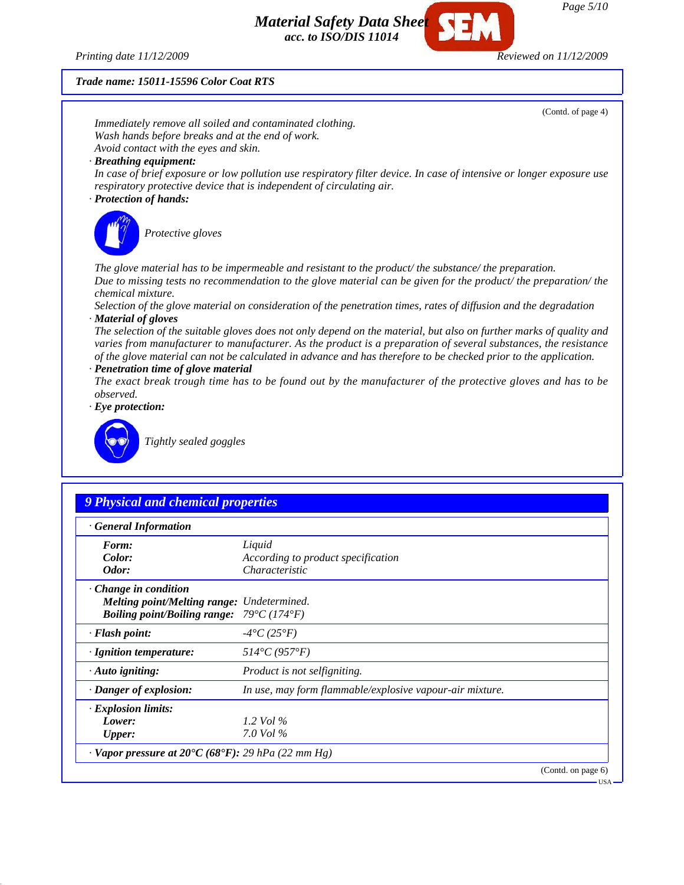*Printing date 11/12/2009 Reviewed on 11/12/2009*

#### *Trade name: 15011-15596 Color Coat RTS*



(Contd. on page 6)

*Page 5/10*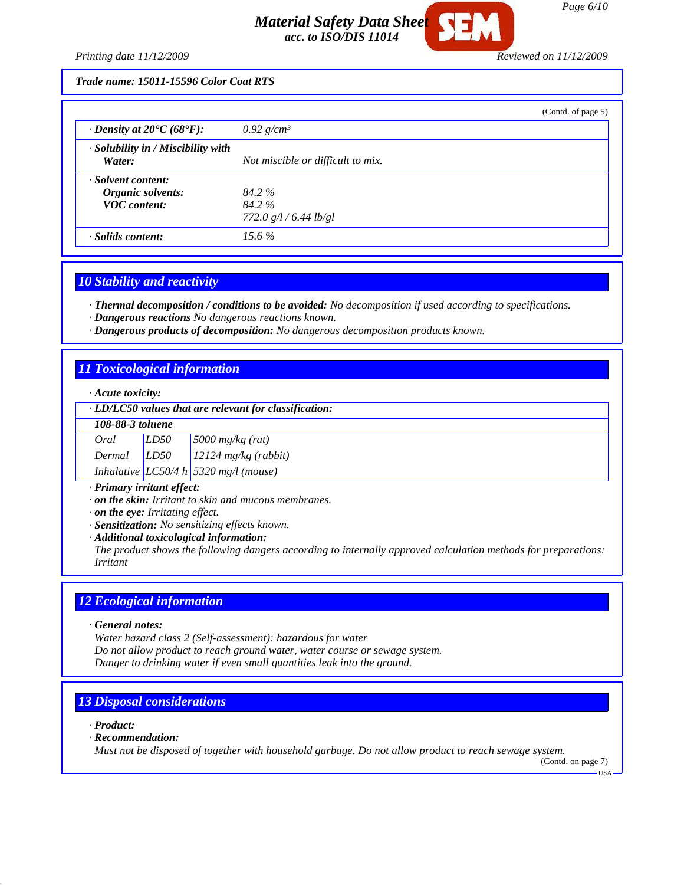

*Printing date 11/12/2009 Reviewed on 11/12/2009*

*Trade name: 15011-15596 Color Coat RTS*

|                                                    |                                   | (Contd. of page 5) |
|----------------------------------------------------|-----------------------------------|--------------------|
| $\cdot$ Density at 20 $\rm{C}(68\rm{^{\circ}F})$ : | 0.92 $g/cm^3$                     |                    |
| $\cdot$ Solubility in / Miscibility with<br>Water: | Not miscible or difficult to mix. |                    |
| · Solvent content:                                 |                                   |                    |
| Organic solvents:                                  | 84.2 %                            |                    |
| <b>VOC</b> content:                                | 84.2%                             |                    |
|                                                    | 772.0 $g/l / 6.44$ lb/gl          |                    |
| · Solids content:                                  | $15.6\%$                          |                    |

#### *10 Stability and reactivity*

*· Thermal decomposition / conditions to be avoided: No decomposition if used according to specifications.*

*· Dangerous reactions No dangerous reactions known.*

*· Dangerous products of decomposition: No dangerous decomposition products known.*

## *11 Toxicological information*

#### *· Acute toxicity:*

#### *· LD/LC50 values that are relevant for classification:*

| 108-88-3 toluene |            |
|------------------|------------|
|                  | $\sqrt{2}$ |

| Oral   | LD50 | $5000$ mg/kg (rat)                    |
|--------|------|---------------------------------------|
| Dermal | LD50 | $12124$ mg/kg (rabbit)                |
|        |      | Inhalative LC50/4 h 5320 mg/l (mouse) |

#### *· Primary irritant effect:*

*· on the skin: Irritant to skin and mucous membranes.*

*· on the eye: Irritating effect.*

*· Sensitization: No sensitizing effects known.*

*· Additional toxicological information:*

*The product shows the following dangers according to internally approved calculation methods for preparations: Irritant*

## *12 Ecological information*

*· General notes:*

*Water hazard class 2 (Self-assessment): hazardous for water Do not allow product to reach ground water, water course or sewage system. Danger to drinking water if even small quantities leak into the ground.*

## *13 Disposal considerations*

*· Product:*

*· Recommendation:*

*Must not be disposed of together with household garbage. Do not allow product to reach sewage system.*

(Contd. on page 7)

USA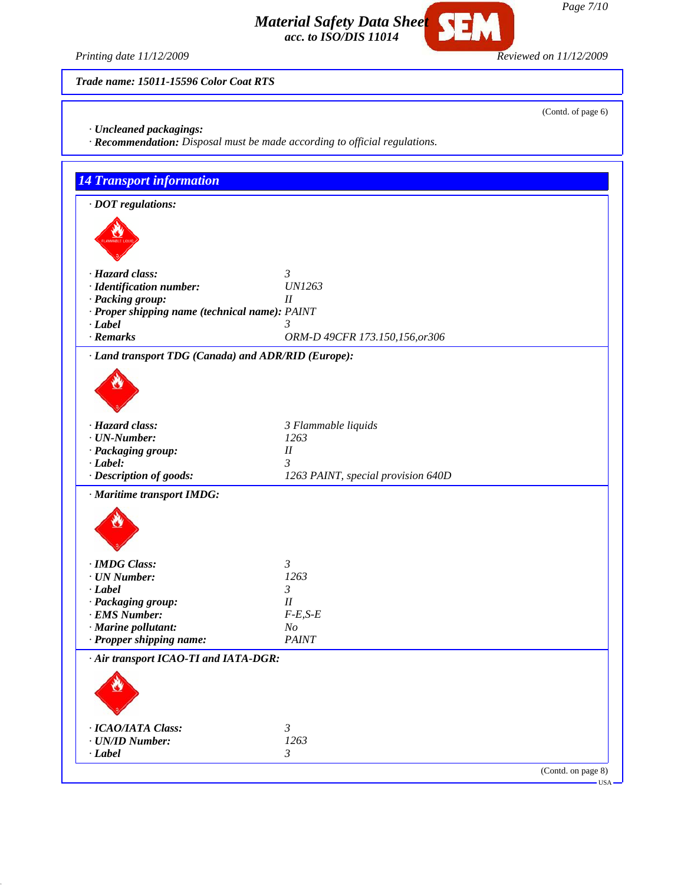*Page 7/10*

*Material Safety Data Sheet acc. to ISO/DIS 11014*

*Printing date 11/12/2009 Reviewed on 11/12/2009*

*Trade name: 15011-15596 Color Coat RTS*

*· Uncleaned packagings:*

*· Recommendation: Disposal must be made according to official regulations.*

| $\cdot$ DOT regulations:                                                               |                                    |
|----------------------------------------------------------------------------------------|------------------------------------|
|                                                                                        |                                    |
|                                                                                        |                                    |
|                                                                                        |                                    |
| · Hazard class:                                                                        | $\mathfrak{Z}$                     |
| · Identification number:                                                               | <b>UN1263</b>                      |
| · Packing group:                                                                       | $_{II}$                            |
| · Proper shipping name (technical name): PAINT<br>$-Label$                             | 3                                  |
| · Remarks                                                                              | ORM-D 49CFR 173.150,156,or306      |
| · Land transport TDG (Canada) and ADR/RID (Europe):                                    |                                    |
|                                                                                        |                                    |
|                                                                                        |                                    |
|                                                                                        |                                    |
|                                                                                        |                                    |
| · Hazard class:                                                                        | 3 Flammable liquids                |
| $\cdot$ UN-Number:                                                                     | 1263                               |
| · Packaging group:                                                                     | $I\!I$                             |
| $\cdot$ Label:                                                                         | 3                                  |
| · Description of goods:                                                                | 1263 PAINT, special provision 640D |
| · Maritime transport IMDG:                                                             |                                    |
|                                                                                        |                                    |
|                                                                                        |                                    |
|                                                                                        |                                    |
| · IMDG Class:                                                                          | $\mathfrak{Z}$                     |
| $\cdot$ UN Number:                                                                     | 1263                               |
| $\cdot$ Label                                                                          | $\mathfrak{Z}$                     |
|                                                                                        | $I\!I$                             |
|                                                                                        |                                    |
|                                                                                        | $F-E,S-E$                          |
|                                                                                        | N <sub>O</sub>                     |
| · Packaging group:<br>· EMS Number:<br>· Marine pollutant:<br>· Propper shipping name: | <b>PAINT</b>                       |
|                                                                                        |                                    |
|                                                                                        |                                    |
|                                                                                        |                                    |
|                                                                                        |                                    |
|                                                                                        |                                    |
| · Air transport ICAO-TI and IATA-DGR:<br>· ICAO/IATA Class:                            | $\mathfrak{Z}$                     |
| · UN/ID Number:<br>$\cdot$ Label                                                       | 1263<br>$\mathfrak{Z}$             |

(Contd. of page 6)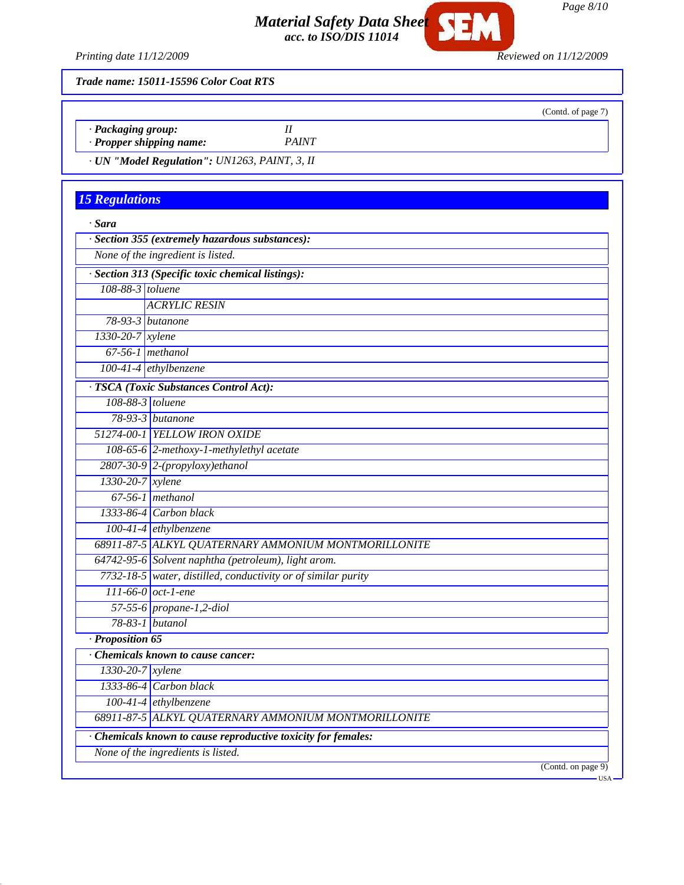

*Printing date 11/12/2009 Reviewed on 11/12/2009*

*Trade name: 15011-15596 Color Coat RTS*

- *· Packaging group: II*
- *· Propper shipping name: PAINT*
- *· UN "Model Regulation": UN1263, PAINT, 3, II*

# *15 Regulations*

| · Section 355 (extremely hazardous substances):<br>None of the ingredient is listed.<br>· Section 313 (Specific toxic chemical listings):<br>108-88-3 toluene<br><b>ACRYLIC RESIN</b><br>$78-93-3$ butanone<br>$1330-20-7$ xylene<br>$67-56-1$ methanol<br>100-41-4 ethylbenzene<br>· TSCA (Toxic Substances Control Act):<br>108-88-3 toluene<br>$78-93-3$ butanone<br>51274-00-1 YELLOW IRON OXIDE<br>108-65-6 $2$ -methoxy-1-methylethyl acetate<br>$2807-30-9$ 2-(propyloxy)ethanol<br>1330-20-7 xylene<br>$67-56-1$ methanol<br>$1333-86-4$ Carbon black<br>$100-41-4$ ethylbenzene<br>68911-87-5 ALKYL QUATERNARY AMMONIUM MONTMORILLONITE<br>64742-95-6 Solvent naphtha (petroleum), light arom.<br>7732-18-5 water, distilled, conductivity or of similar purity<br>$111-66-0$ oct-1-ene<br>57-55-6 propane-1,2-diol<br>78-83-1 butanol<br>· Proposition 65 | · Sara |                                                    |
|---------------------------------------------------------------------------------------------------------------------------------------------------------------------------------------------------------------------------------------------------------------------------------------------------------------------------------------------------------------------------------------------------------------------------------------------------------------------------------------------------------------------------------------------------------------------------------------------------------------------------------------------------------------------------------------------------------------------------------------------------------------------------------------------------------------------------------------------------------------------|--------|----------------------------------------------------|
|                                                                                                                                                                                                                                                                                                                                                                                                                                                                                                                                                                                                                                                                                                                                                                                                                                                                     |        |                                                    |
|                                                                                                                                                                                                                                                                                                                                                                                                                                                                                                                                                                                                                                                                                                                                                                                                                                                                     |        |                                                    |
|                                                                                                                                                                                                                                                                                                                                                                                                                                                                                                                                                                                                                                                                                                                                                                                                                                                                     |        |                                                    |
|                                                                                                                                                                                                                                                                                                                                                                                                                                                                                                                                                                                                                                                                                                                                                                                                                                                                     |        |                                                    |
|                                                                                                                                                                                                                                                                                                                                                                                                                                                                                                                                                                                                                                                                                                                                                                                                                                                                     |        |                                                    |
|                                                                                                                                                                                                                                                                                                                                                                                                                                                                                                                                                                                                                                                                                                                                                                                                                                                                     |        |                                                    |
|                                                                                                                                                                                                                                                                                                                                                                                                                                                                                                                                                                                                                                                                                                                                                                                                                                                                     |        |                                                    |
|                                                                                                                                                                                                                                                                                                                                                                                                                                                                                                                                                                                                                                                                                                                                                                                                                                                                     |        |                                                    |
|                                                                                                                                                                                                                                                                                                                                                                                                                                                                                                                                                                                                                                                                                                                                                                                                                                                                     |        |                                                    |
|                                                                                                                                                                                                                                                                                                                                                                                                                                                                                                                                                                                                                                                                                                                                                                                                                                                                     |        |                                                    |
|                                                                                                                                                                                                                                                                                                                                                                                                                                                                                                                                                                                                                                                                                                                                                                                                                                                                     |        |                                                    |
|                                                                                                                                                                                                                                                                                                                                                                                                                                                                                                                                                                                                                                                                                                                                                                                                                                                                     |        |                                                    |
|                                                                                                                                                                                                                                                                                                                                                                                                                                                                                                                                                                                                                                                                                                                                                                                                                                                                     |        |                                                    |
|                                                                                                                                                                                                                                                                                                                                                                                                                                                                                                                                                                                                                                                                                                                                                                                                                                                                     |        |                                                    |
|                                                                                                                                                                                                                                                                                                                                                                                                                                                                                                                                                                                                                                                                                                                                                                                                                                                                     |        |                                                    |
|                                                                                                                                                                                                                                                                                                                                                                                                                                                                                                                                                                                                                                                                                                                                                                                                                                                                     |        |                                                    |
|                                                                                                                                                                                                                                                                                                                                                                                                                                                                                                                                                                                                                                                                                                                                                                                                                                                                     |        |                                                    |
|                                                                                                                                                                                                                                                                                                                                                                                                                                                                                                                                                                                                                                                                                                                                                                                                                                                                     |        |                                                    |
|                                                                                                                                                                                                                                                                                                                                                                                                                                                                                                                                                                                                                                                                                                                                                                                                                                                                     |        |                                                    |
|                                                                                                                                                                                                                                                                                                                                                                                                                                                                                                                                                                                                                                                                                                                                                                                                                                                                     |        |                                                    |
|                                                                                                                                                                                                                                                                                                                                                                                                                                                                                                                                                                                                                                                                                                                                                                                                                                                                     |        |                                                    |
|                                                                                                                                                                                                                                                                                                                                                                                                                                                                                                                                                                                                                                                                                                                                                                                                                                                                     |        |                                                    |
|                                                                                                                                                                                                                                                                                                                                                                                                                                                                                                                                                                                                                                                                                                                                                                                                                                                                     |        |                                                    |
|                                                                                                                                                                                                                                                                                                                                                                                                                                                                                                                                                                                                                                                                                                                                                                                                                                                                     |        |                                                    |
|                                                                                                                                                                                                                                                                                                                                                                                                                                                                                                                                                                                                                                                                                                                                                                                                                                                                     |        |                                                    |
|                                                                                                                                                                                                                                                                                                                                                                                                                                                                                                                                                                                                                                                                                                                                                                                                                                                                     |        |                                                    |
| Chemicals known to cause cancer:                                                                                                                                                                                                                                                                                                                                                                                                                                                                                                                                                                                                                                                                                                                                                                                                                                    |        |                                                    |
| $1330 - 20 - 7$ <i>xylene</i>                                                                                                                                                                                                                                                                                                                                                                                                                                                                                                                                                                                                                                                                                                                                                                                                                                       |        |                                                    |
| 1333-86-4 Carbon black                                                                                                                                                                                                                                                                                                                                                                                                                                                                                                                                                                                                                                                                                                                                                                                                                                              |        |                                                    |
| $100-41-4$ ethylbenzene                                                                                                                                                                                                                                                                                                                                                                                                                                                                                                                                                                                                                                                                                                                                                                                                                                             |        |                                                    |
| 68911-87-5 ALKYL QUATERNARY AMMONIUM MONTMORILLONITE                                                                                                                                                                                                                                                                                                                                                                                                                                                                                                                                                                                                                                                                                                                                                                                                                |        |                                                    |
| · Chemicals known to cause reproductive toxicity for females:                                                                                                                                                                                                                                                                                                                                                                                                                                                                                                                                                                                                                                                                                                                                                                                                       |        |                                                    |
| None of the ingredients is listed.                                                                                                                                                                                                                                                                                                                                                                                                                                                                                                                                                                                                                                                                                                                                                                                                                                  |        |                                                    |
|                                                                                                                                                                                                                                                                                                                                                                                                                                                                                                                                                                                                                                                                                                                                                                                                                                                                     |        | (Cond. on page 9)<br>$\overline{\phantom{a}}$ USA. |

(Contd. of page 7)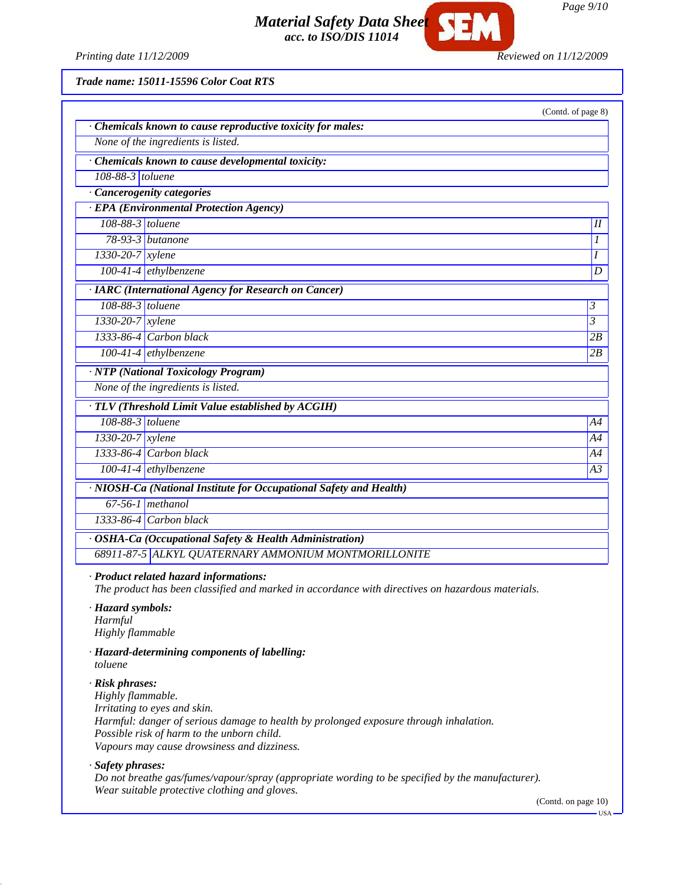*Page 9/10*

*Material Safety Data Sheet acc. to ISO/DIS 11014*

*Printing date 11/12/2009 Reviewed on 11/12/2009*

*Trade name: 15011-15596 Color Coat RTS*

|                        |                                                                    | (Contd. of page 8) |
|------------------------|--------------------------------------------------------------------|--------------------|
|                        | Chemicals known to cause reproductive toxicity for males:          |                    |
|                        | None of the ingredients is listed.                                 |                    |
|                        | Chemicals known to cause developmental toxicity:                   |                    |
| 108-88-3 toluene       |                                                                    |                    |
|                        | · Cancerogenity categories                                         |                    |
|                        | · EPA (Environmental Protection Agency)                            |                    |
| 108-88-3 toluene       |                                                                    | $\overline{II}$    |
|                        | 78-93-3 butanone                                                   | 1                  |
| 1330-20-7 xylene       |                                                                    | I                  |
|                        | $100-41-4$ ethylbenzene                                            | D                  |
|                        | · IARC (International Agency for Research on Cancer)               |                    |
| 108-88-3 toluene       |                                                                    | 3                  |
| $1330 - 20 - 7$ xylene |                                                                    | 3                  |
|                        | 1333-86-4 Carbon black                                             | 2B                 |
|                        | $100-41-4$ ethylbenzene                                            | 2B                 |
|                        | · NTP (National Toxicology Program)                                |                    |
|                        | None of the ingredients is listed.                                 |                    |
|                        | · TLV (Threshold Limit Value established by ACGIH)                 |                    |
| 108-88-3 toluene       |                                                                    | A4                 |
| 1330-20-7 xylene       |                                                                    | A4                 |
|                        | 1333-86-4 Carbon black                                             | A4                 |
|                        | $100-41-4$ ethylbenzene                                            | A <sub>3</sub>     |
|                        | · NIOSH-Ca (National Institute for Occupational Safety and Health) |                    |
|                        | $67-56-1$ methanol                                                 |                    |
|                        | 1333-86-4 Carbon black                                             |                    |
|                        | · OSHA-Ca (Occupational Safety & Health Administration)            |                    |
|                        | 68911-87-5 ALKYL QUATERNARY AMMONIUM MONTMORILLONITE               |                    |

*· Hazard symbols: Harmful Highly flammable*

*· Hazard-determining components of labelling: toluene*

#### *· Risk phrases:*

*Highly flammable. Irritating to eyes and skin. Harmful: danger of serious damage to health by prolonged exposure through inhalation. Possible risk of harm to the unborn child. Vapours may cause drowsiness and dizziness.*

*· Safety phrases:*

*Do not breathe gas/fumes/vapour/spray (appropriate wording to be specified by the manufacturer). Wear suitable protective clothing and gloves.*

(Contd. on page 10)